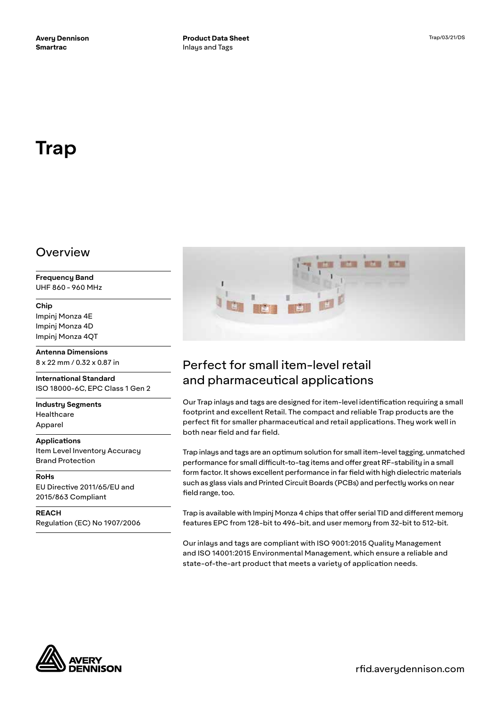# **Trap**

### Overview

**Frequency Band** UHF 860 - 960 MHz

### **Chip**

Impinj Monza 4E Impinj Monza 4D Impinj Monza 4QT

**Antenna Dimensions** 8 x 22 mm / 0.32 x 0.87 in

**International Standard** ISO 18000-6C, EPC Class 1 Gen 2

**Industry Segments** Healthcare Apparel

### **Applications**

Item Level Inventory Accuracy Brand Protection

**RoHs** EU Directive 2011/65/EU and 2015/863 Compliant

**REACH** Regulation (EC) No 1907/2006



# Perfect for small item-level retail and pharmaceutical applications

Our Trap inlays and tags are designed for item-level identification requiring a small footprint and excellent Retail. The compact and reliable Trap products are the perfect fit for smaller pharmaceutical and retail applications. They work well in both near field and far field.

Trap inlays and tags are an optimum solution for small item-level tagging, unmatched performance for small difficult-to-tag items and offer great RF-stability in a small form factor. It shows excellent performance in far field with high dielectric materials such as glass vials and Printed Circuit Boards (PCBs) and perfectly works on near field range, too.

Trap is available with Impinj Monza 4 chips that offer serial TID and different memory features EPC from 128-bit to 496-bit, and user memory from 32-bit to 512-bit.

Our inlays and tags are compliant with ISO 9001:2015 Quality Management and ISO 14001:2015 Environmental Management, which ensure a reliable and state-of-the-art product that meets a variety of application needs.